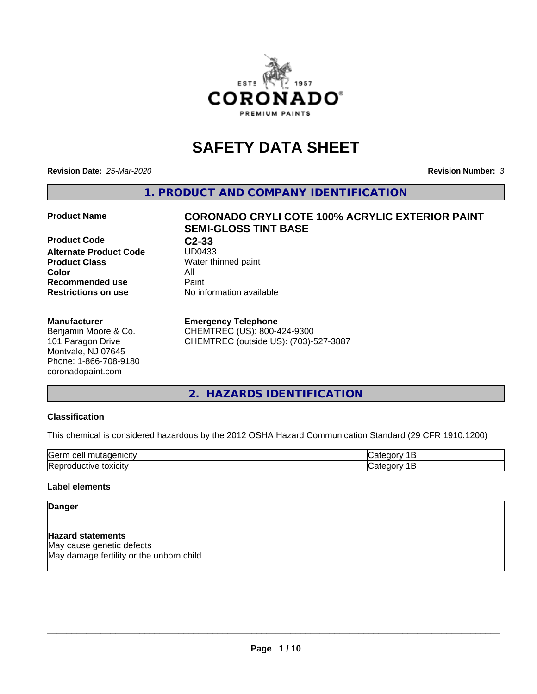

# **SAFETY DATA SHEET**

**Revision Date:** *25-Mar-2020* **Revision Number:** *3*

**1. PRODUCT AND COMPANY IDENTIFICATION**

**Product Code C2-33**<br> **Alternate Product Code** UD0433 **Alternate Product Code**<br>Product Class **Product Class** Water thinned paint<br> **Color** All **Color** All **Recommended use Caint Restrictions on use** No information available

#### **Manufacturer**

Benjamin Moore & Co. 101 Paragon Drive Montvale, NJ 07645 Phone: 1-866-708-9180 coronadopaint.com

## **Product Name CORONADO CRYLI COTE 100% ACRYLIC EXTERIOR PAINT SEMI-GLOSS TINT BASE**

#### **Emergency Telephone**

CHEMTREC (US): 800-424-9300 CHEMTREC (outside US): (703)-527-3887

## **2. HAZARDS IDENTIFICATION**

#### **Classification**

This chemical is considered hazardous by the 2012 OSHA Hazard Communication Standard (29 CFR 1910.1200)

| $\sim$ $\sim$<br>---<br>kae:<br>$\cdot$ |  |
|-----------------------------------------|--|
| <b>Re</b><br>$-$<br>. X II              |  |

#### **Label elements**

## **Danger**

**Hazard statements** May cause genetic defects May damage fertility or the unborn child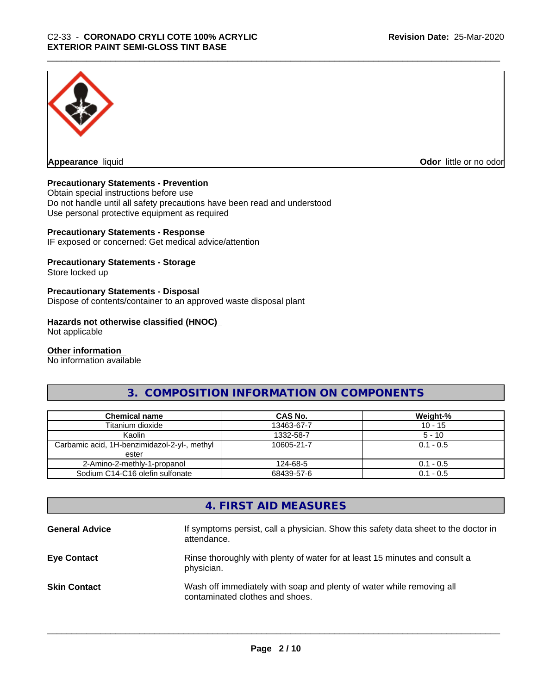

**Appearance** liquid

**Odor** little or no odor

#### **Precautionary Statements - Prevention**

Obtain special instructions before use Do not handle until all safety precautions have been read and understood Use personal protective equipment as required

#### **Precautionary Statements - Response**

IF exposed or concerned: Get medical advice/attention

#### **Precautionary Statements - Storage**

Store locked up

#### **Precautionary Statements - Disposal**

Dispose of contents/container to an approved waste disposal plant

#### **Hazards not otherwise classified (HNOC)**

Not applicable

#### **Other information**

No information available

## **3. COMPOSITION INFORMATION ON COMPONENTS**

| <b>Chemical name</b>                         | CAS No.    | Weight-%    |
|----------------------------------------------|------------|-------------|
|                                              |            |             |
| Titanium dioxide                             | 13463-67-7 | $10 - 15$   |
| Kaolin                                       | 1332-58-7  | $5 - 10$    |
| Carbamic acid, 1H-benzimidazol-2-yl-, methyl | 10605-21-7 | $0.1 - 0.5$ |
| ester                                        |            |             |
| 2-Amino-2-methly-1-propanol                  | 124-68-5   | $0.1 - 0.5$ |
| Sodium C14-C16 olefin sulfonate              | 68439-57-6 | $0.1 - 0.5$ |

## **4. FIRST AID MEASURES**

| <b>General Advice</b> | If symptoms persist, call a physician. Show this safety data sheet to the doctor in<br>attendance.       |
|-----------------------|----------------------------------------------------------------------------------------------------------|
| <b>Eye Contact</b>    | Rinse thoroughly with plenty of water for at least 15 minutes and consult a<br>physician.                |
| <b>Skin Contact</b>   | Wash off immediately with soap and plenty of water while removing all<br>contaminated clothes and shoes. |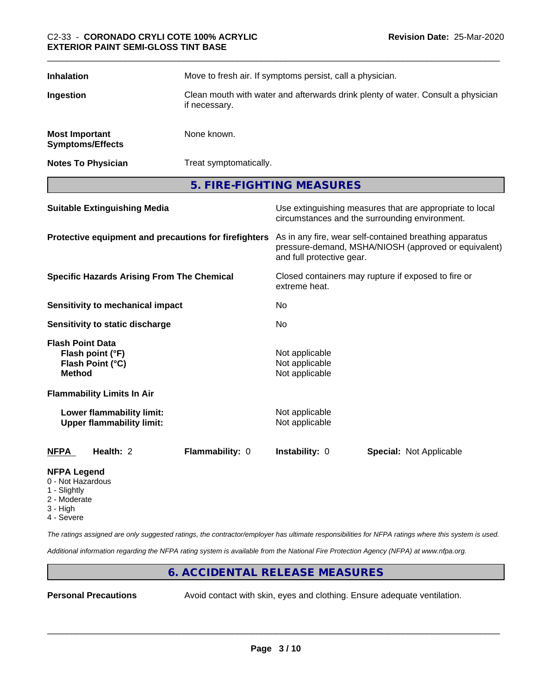| <b>Inhalation</b>                                | Move to fresh air. If symptoms persist, call a physician.                                         |
|--------------------------------------------------|---------------------------------------------------------------------------------------------------|
| Ingestion                                        | Clean mouth with water and afterwards drink plenty of water. Consult a physician<br>if necessary. |
| <b>Most Important</b><br><b>Symptoms/Effects</b> | None known.                                                                                       |
| <b>Notes To Physician</b>                        | Treat symptomatically.                                                                            |

**5. FIRE-FIGHTING MEASURES**

| <b>Suitable Extinguishing Media</b>                                              | Use extinguishing measures that are appropriate to local<br>circumstances and the surrounding environment.                                   |  |
|----------------------------------------------------------------------------------|----------------------------------------------------------------------------------------------------------------------------------------------|--|
| Protective equipment and precautions for firefighters                            | As in any fire, wear self-contained breathing apparatus<br>pressure-demand, MSHA/NIOSH (approved or equivalent)<br>and full protective gear. |  |
| <b>Specific Hazards Arising From The Chemical</b>                                | Closed containers may rupture if exposed to fire or<br>extreme heat.                                                                         |  |
| <b>Sensitivity to mechanical impact</b>                                          | No                                                                                                                                           |  |
| Sensitivity to static discharge                                                  | No                                                                                                                                           |  |
| <b>Flash Point Data</b><br>Flash point (°F)<br>Flash Point (°C)<br><b>Method</b> | Not applicable<br>Not applicable<br>Not applicable                                                                                           |  |
| <b>Flammability Limits In Air</b>                                                |                                                                                                                                              |  |
| Lower flammability limit:<br><b>Upper flammability limit:</b>                    | Not applicable<br>Not applicable                                                                                                             |  |
| <b>Flammability: 0</b><br><b>NFPA</b><br>Health: 2                               | <b>Instability: 0</b><br><b>Special: Not Applicable</b>                                                                                      |  |
|                                                                                  |                                                                                                                                              |  |

#### **NFPA Legend**

- 0 Not Hazardous
- 1 Slightly
- 2 Moderate
- 3 High
- 4 Severe

*The ratings assigned are only suggested ratings, the contractor/employer has ultimate responsibilities for NFPA ratings where this system is used.*

*Additional information regarding the NFPA rating system is available from the National Fire Protection Agency (NFPA) at www.nfpa.org.*

## **6. ACCIDENTAL RELEASE MEASURES**

**Personal Precautions** Avoid contact with skin, eyes and clothing. Ensure adequate ventilation.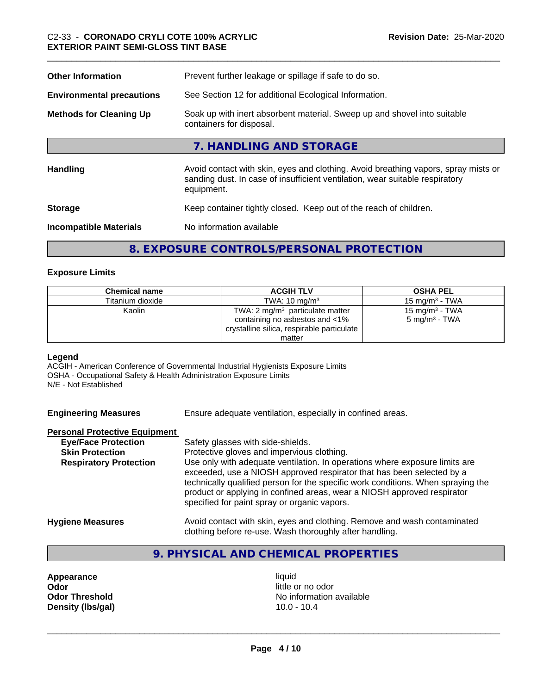| <b>Other Information</b>                                                                                                               | Prevent further leakage or spillage if safe to do so.                                                                                                                            |  |  |
|----------------------------------------------------------------------------------------------------------------------------------------|----------------------------------------------------------------------------------------------------------------------------------------------------------------------------------|--|--|
| <b>Environmental precautions</b>                                                                                                       | See Section 12 for additional Ecological Information.                                                                                                                            |  |  |
| <b>Methods for Cleaning Up</b><br>Soak up with inert absorbent material. Sweep up and shovel into suitable<br>containers for disposal. |                                                                                                                                                                                  |  |  |
|                                                                                                                                        | 7. HANDLING AND STORAGE                                                                                                                                                          |  |  |
| <b>Handling</b>                                                                                                                        | Avoid contact with skin, eyes and clothing. Avoid breathing vapors, spray mists or<br>sanding dust. In case of insufficient ventilation, wear suitable respiratory<br>equipment. |  |  |
| <b>Storage</b>                                                                                                                         | Keep container tightly closed. Keep out of the reach of children.                                                                                                                |  |  |
| <b>Incompatible Materials</b>                                                                                                          | No information available                                                                                                                                                         |  |  |
|                                                                                                                                        |                                                                                                                                                                                  |  |  |

## **8. EXPOSURE CONTROLS/PERSONAL PROTECTION**

#### **Exposure Limits**

| <b>Chemical name</b> | <b>ACGIH TLV</b>                                                                                                           | <b>OSHA PEL</b>                                        |
|----------------------|----------------------------------------------------------------------------------------------------------------------------|--------------------------------------------------------|
| Titanium dioxide     | TWA: $10 \text{ mg/m}^3$                                                                                                   | $15 \text{ mg/m}^3$ - TWA                              |
| Kaolin               | TWA: $2 \text{ mg/m}^3$ particulate matter<br>containing no asbestos and <1%<br>crystalline silica, respirable particulate | 15 mg/m <sup>3</sup> - TWA<br>$5 \text{ mg/m}^3$ - TWA |
|                      | matter                                                                                                                     |                                                        |

#### **Legend**

ACGIH - American Conference of Governmental Industrial Hygienists Exposure Limits OSHA - Occupational Safety & Health Administration Exposure Limits N/E - Not Established

| <b>Engineering Measures</b> | Ensure adequate ventilation, especially in confined areas. |  |
|-----------------------------|------------------------------------------------------------|--|
|                             |                                                            |  |

#### **Personal Protective Equipment**

| <b>Eye/Face Protection</b>    | Safety glasses with side-shields.                                                                                                                                                                                                                                                                                                                                   |
|-------------------------------|---------------------------------------------------------------------------------------------------------------------------------------------------------------------------------------------------------------------------------------------------------------------------------------------------------------------------------------------------------------------|
| <b>Skin Protection</b>        | Protective gloves and impervious clothing.                                                                                                                                                                                                                                                                                                                          |
| <b>Respiratory Protection</b> | Use only with adequate ventilation. In operations where exposure limits are<br>exceeded, use a NIOSH approved respirator that has been selected by a<br>technically qualified person for the specific work conditions. When spraying the<br>product or applying in confined areas, wear a NIOSH approved respirator<br>specified for paint spray or organic vapors. |
| Uvajana Maaausaa              | buoid contact with align avec and alathing. Bemove and week contaminated                                                                                                                                                                                                                                                                                            |

**Hygiene Measures** Avoid contact with skin, eyes and clothing. Remove and wash contaminated clothing before re-use. Wash thoroughly after handling.

## **9. PHYSICAL AND CHEMICAL PROPERTIES**

**Appearance** liquid **Odor** little or no odor **Density (lbs/gal)** 

**Odor Threshold**<br> **Density (Ibs/gal)** No information available<br>
10.0 - 10.4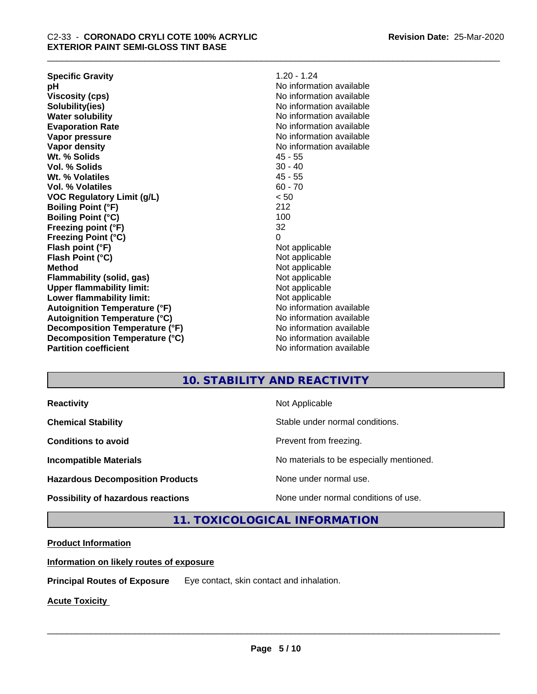| <b>Specific Gravity</b>              | $1.20 - 1.24$            |
|--------------------------------------|--------------------------|
| рH                                   | No information available |
| <b>Viscosity (cps)</b>               | No information available |
| Solubility(ies)                      | No information available |
| <b>Water solubility</b>              | No information available |
| <b>Evaporation Rate</b>              | No information available |
| Vapor pressure                       | No information available |
| Vapor density                        | No information available |
| Wt. % Solids                         | $45 - 55$                |
| Vol. % Solids                        | $30 - 40$                |
| Wt. % Volatiles                      | $45 - 55$                |
| Vol. % Volatiles                     | $60 - 70$                |
| <b>VOC Regulatory Limit (g/L)</b>    | < 50                     |
| <b>Boiling Point (°F)</b>            | 212                      |
| Boiling Point (°C)                   | 100                      |
| Freezing point (°F)                  | 32                       |
| <b>Freezing Point (°C)</b>           | $\Omega$                 |
| Flash point (°F)                     | Not applicable           |
| Flash Point (°C)                     | Not applicable           |
| Method                               | Not applicable           |
| Flammability (solid, gas)            | Not applicable           |
| <b>Upper flammability limit:</b>     | Not applicable           |
| Lower flammability limit:            | Not applicable           |
| <b>Autoignition Temperature (°F)</b> | No information available |
| Autoignition Temperature (°C)        | No information available |
| Decomposition Temperature (°F)       | No information available |
| Decomposition Temperature (°C)       | No information available |
| <b>Partition coefficient</b>         | No information available |
|                                      |                          |

## **10. STABILITY AND REACTIVITY**

**Hazardous Decomposition Products** None under normal use.

**Reactivity Not Applicable Not Applicable** 

**Chemical Stability Chemical Stability** Stable under normal conditions.

**Conditions to avoid Conditions to avoid Prevent from freezing.** 

**Incompatible Materials No materials** No materials to be especially mentioned.

 $\overline{\phantom{a}}$  ,  $\overline{\phantom{a}}$  ,  $\overline{\phantom{a}}$  ,  $\overline{\phantom{a}}$  ,  $\overline{\phantom{a}}$  ,  $\overline{\phantom{a}}$  ,  $\overline{\phantom{a}}$  ,  $\overline{\phantom{a}}$  ,  $\overline{\phantom{a}}$  ,  $\overline{\phantom{a}}$  ,  $\overline{\phantom{a}}$  ,  $\overline{\phantom{a}}$  ,  $\overline{\phantom{a}}$  ,  $\overline{\phantom{a}}$  ,  $\overline{\phantom{a}}$  ,  $\overline{\phantom{a}}$ 

**Possibility of hazardous reactions** None under normal conditions of use.

**11. TOXICOLOGICAL INFORMATION**

#### **Product Information**

**Information on likely routes of exposure**

**Principal Routes of Exposure** Eye contact, skin contact and inhalation.

**Acute Toxicity**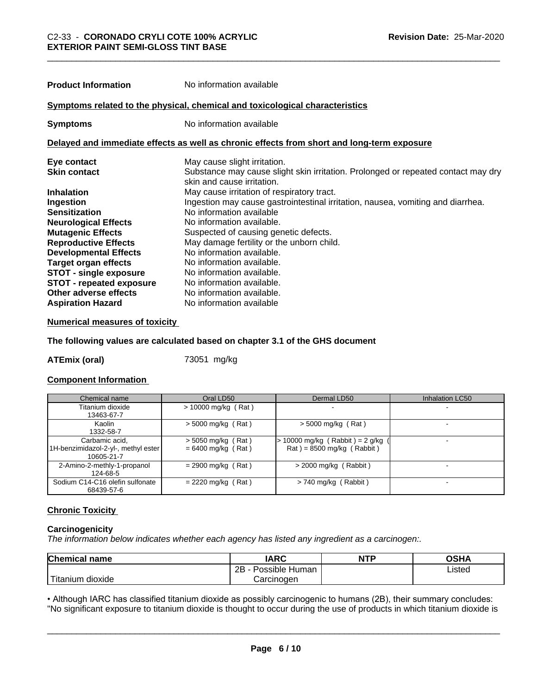| <b>Product Information</b>                                                   | No information available                                                                                        |  |  |
|------------------------------------------------------------------------------|-----------------------------------------------------------------------------------------------------------------|--|--|
| Symptoms related to the physical, chemical and toxicological characteristics |                                                                                                                 |  |  |
| <b>Symptoms</b>                                                              | No information available                                                                                        |  |  |
|                                                                              | Delayed and immediate effects as well as chronic effects from short and long-term exposure                      |  |  |
| Eye contact                                                                  | May cause slight irritation.                                                                                    |  |  |
| <b>Skin contact</b>                                                          | Substance may cause slight skin irritation. Prolonged or repeated contact may dry<br>skin and cause irritation. |  |  |
| <b>Inhalation</b>                                                            | May cause irritation of respiratory tract.                                                                      |  |  |
| Ingestion                                                                    | Ingestion may cause gastrointestinal irritation, nausea, vomiting and diarrhea.                                 |  |  |
| <b>Sensitization</b>                                                         | No information available                                                                                        |  |  |
| <b>Neurological Effects</b>                                                  | No information available.                                                                                       |  |  |
| <b>Mutagenic Effects</b>                                                     | Suspected of causing genetic defects.                                                                           |  |  |
| <b>Reproductive Effects</b>                                                  | May damage fertility or the unborn child.                                                                       |  |  |
| <b>Developmental Effects</b>                                                 | No information available.                                                                                       |  |  |
| <b>Target organ effects</b>                                                  | No information available.                                                                                       |  |  |
| <b>STOT - single exposure</b>                                                | No information available.                                                                                       |  |  |

| <b>STOT - repeated exposure</b> | No information available. |
|---------------------------------|---------------------------|
| Other adverse effects           | No information available. |
| <b>Aspiration Hazard</b>        | No information available  |

#### **Numerical measures of toxicity**

#### **The following values are calculated based on chapter 3.1 of the GHS document**

**ATEmix (oral)** 73051 mg/kg

#### **Component Information**

**STOT** - single exposure

| Chemical name                                                       | Oral LD50                                    | Dermal LD50                                                      | <b>Inhalation LC50</b> |
|---------------------------------------------------------------------|----------------------------------------------|------------------------------------------------------------------|------------------------|
| Titanium dioxide                                                    | $> 10000$ mg/kg (Rat)                        |                                                                  |                        |
| 13463-67-7<br>Kaolin                                                |                                              |                                                                  |                        |
| 1332-58-7                                                           | $>$ 5000 mg/kg (Rat)                         | $>$ 5000 mg/kg (Rat)                                             |                        |
| Carbamic acid,<br>1H-benzimidazol-2-yl-, methyl ester<br>10605-21-7 | $> 5050$ mg/kg (Rat)<br>$= 6400$ mg/kg (Rat) | 10000 mg/kg (Rabbit) = $2$ g/kg (<br>$Rat$ = 8500 mg/kg (Rabbit) |                        |
| 2-Amino-2-methly-1-propanol<br>124-68-5                             | $= 2900$ mg/kg (Rat)                         | $>$ 2000 mg/kg (Rabbit)                                          |                        |
| Sodium C14-C16 olefin sulfonate<br>68439-57-6                       | $= 2220$ mg/kg (Rat)                         | $> 740$ mg/kg (Rabbit)                                           |                        |

#### **Chronic Toxicity**

#### **Carcinogenicity**

*The information below indicateswhether each agency has listed any ingredient as a carcinogen:.*

| <b>Chemical name</b>                                                                                                                            | <b>IARC</b>                  | <b>NTP</b> | OSHA   |
|-------------------------------------------------------------------------------------------------------------------------------------------------|------------------------------|------------|--------|
|                                                                                                                                                 | .<br>2B<br>Possible<br>Human |            | Listed |
| <b>The Contract of the Contract of the Contract of the Contract of the Contract of the Contract of the Contract o</b><br>n dioxide<br>l itanıum | Carcinoɑen                   |            |        |

• Although IARC has classified titanium dioxide as possibly carcinogenic to humans (2B), their summary concludes:<br>"No significant exposure to titanium dioxide is thought to occur during the use of products in which titaniu "No significant exposure to titanium dioxide is thought to occur during the use of products in which titanium dioxide is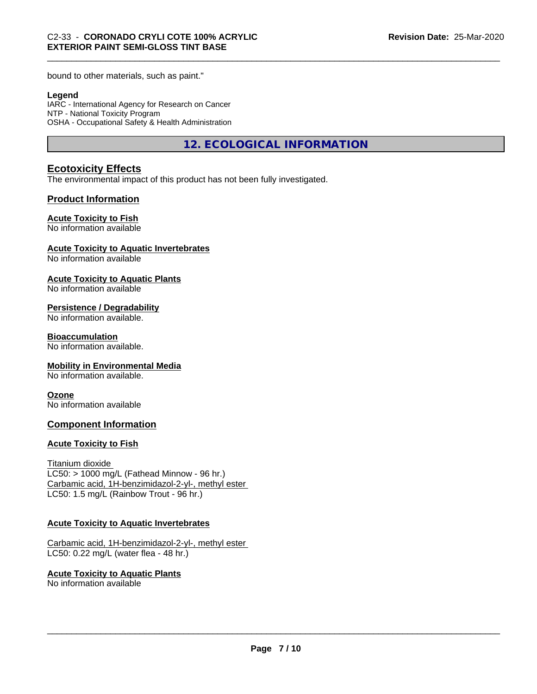bound to other materials, such as paint."

#### **Legend**

IARC - International Agency for Research on Cancer NTP - National Toxicity Program OSHA - Occupational Safety & Health Administration

**12. ECOLOGICAL INFORMATION**

## **Ecotoxicity Effects**

The environmental impact of this product has not been fully investigated.

### **Product Information**

#### **Acute Toxicity to Fish**

No information available

#### **Acute Toxicity to Aquatic Invertebrates**

No information available

#### **Acute Toxicity to Aquatic Plants**

No information available

#### **Persistence / Degradability**

No information available.

#### **Bioaccumulation**

No information available.

#### **Mobility in Environmental Media**

No information available.

#### **Ozone**

No information available

#### **Component Information**

#### **Acute Toxicity to Fish**

#### Titanium dioxide

 $LC50:$  > 1000 mg/L (Fathead Minnow - 96 hr.) Carbamic acid, 1H-benzimidazol-2-yl-, methyl ester LC50: 1.5 mg/L (Rainbow Trout - 96 hr.)

#### **Acute Toxicity to Aquatic Invertebrates**

Carbamic acid, 1H-benzimidazol-2-yl-, methyl ester LC50: 0.22 mg/L (water flea - 48 hr.)

**Acute Toxicity to Aquatic Plants** No information available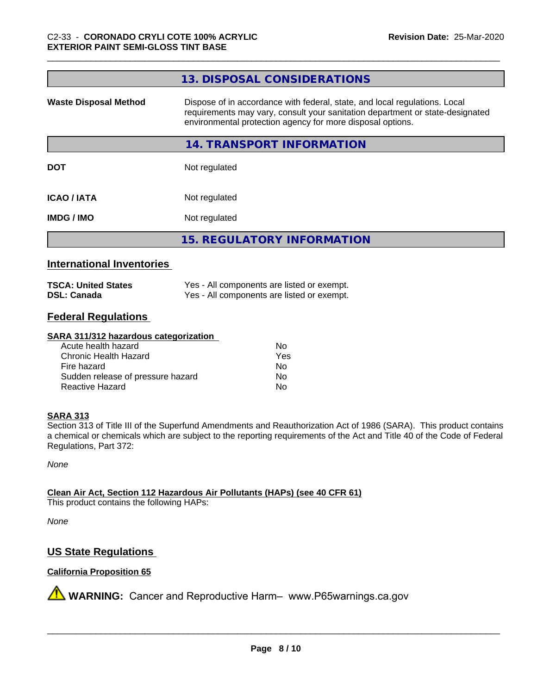|                              | 13. DISPOSAL CONSIDERATIONS                                                                                                                                                                                               |
|------------------------------|---------------------------------------------------------------------------------------------------------------------------------------------------------------------------------------------------------------------------|
| <b>Waste Disposal Method</b> | Dispose of in accordance with federal, state, and local regulations. Local<br>requirements may vary, consult your sanitation department or state-designated<br>environmental protection agency for more disposal options. |
|                              | 14. TRANSPORT INFORMATION                                                                                                                                                                                                 |
| <b>DOT</b>                   | Not regulated                                                                                                                                                                                                             |
| <b>ICAO/IATA</b>             | Not regulated                                                                                                                                                                                                             |
| <b>IMDG/IMO</b>              | Not regulated                                                                                                                                                                                                             |
|                              | <b>15. REGULATORY INFORMATION</b>                                                                                                                                                                                         |
|                              |                                                                                                                                                                                                                           |

## **International Inventories**

| <b>TSCA: United States</b> | Yes - All components are listed or exempt. |
|----------------------------|--------------------------------------------|
| <b>DSL: Canada</b>         | Yes - All components are listed or exempt. |

## **Federal Regulations**

#### **SARA 311/312 hazardous categorization**

| Acute health hazard               | Nο  |
|-----------------------------------|-----|
| Chronic Health Hazard             | Yes |
| Fire hazard                       | N٥  |
| Sudden release of pressure hazard | N٥  |
| Reactive Hazard                   | Nο  |

#### **SARA 313**

Section 313 of Title III of the Superfund Amendments and Reauthorization Act of 1986 (SARA). This product contains a chemical or chemicals which are subject to the reporting requirements of the Act and Title 40 of the Code of Federal Regulations, Part 372:

*None*

**Clean Air Act,Section 112 Hazardous Air Pollutants (HAPs) (see 40 CFR 61)**

This product contains the following HAPs:

*None*

## **US State Regulations**

### **California Proposition 65**

**A** WARNING: Cancer and Reproductive Harm– www.P65warnings.ca.gov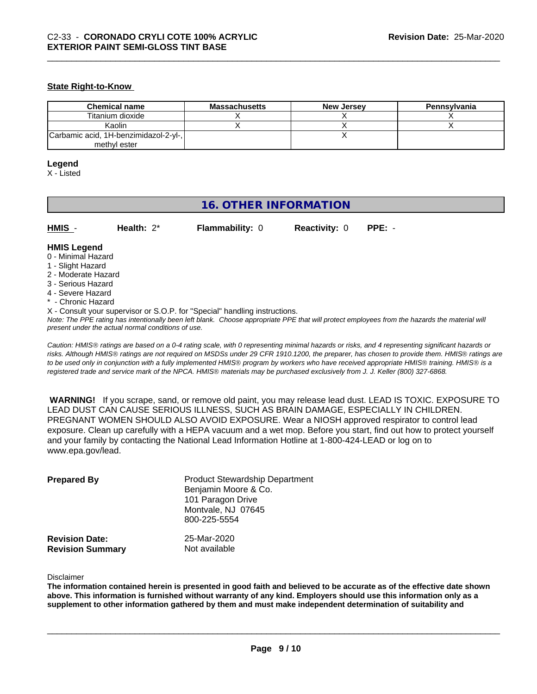#### **State Right-to-Know**

| <b>Chemical name</b>                  | <b>Massachusetts</b> | <b>New Jersey</b> | Pennsylvania |
|---------------------------------------|----------------------|-------------------|--------------|
| Titanium dioxide                      |                      |                   |              |
| Kaolin                                |                      |                   |              |
| Carbamic acid, 1H-benzimidazol-2-yl-, |                      |                   |              |
| methyl ester                          |                      |                   |              |

#### **Legend**

X - Listed

## **16. OTHER INFORMATION**

| HMIS | Health: $2^*$ | <b>Flammability: 0</b> | <b>Reactivity: 0 PPE: -</b> |  |
|------|---------------|------------------------|-----------------------------|--|
|      |               |                        |                             |  |

#### **HMIS Legend**

- 0 Minimal Hazard
- 1 Slight Hazard
- 2 Moderate Hazard
- 3 Serious Hazard
- 4 Severe Hazard
- Chronic Hazard
- X Consult your supervisor or S.O.P. for "Special" handling instructions.

*Note: The PPE rating has intentionally been left blank. Choose appropriate PPE that will protect employees from the hazards the material will present under the actual normal conditions of use.*

*Caution: HMISÒ ratings are based on a 0-4 rating scale, with 0 representing minimal hazards or risks, and 4 representing significant hazards or risks. Although HMISÒ ratings are not required on MSDSs under 29 CFR 1910.1200, the preparer, has chosen to provide them. HMISÒ ratings are to be used only in conjunction with a fully implemented HMISÒ program by workers who have received appropriate HMISÒ training. HMISÒ is a registered trade and service mark of the NPCA. HMISÒ materials may be purchased exclusively from J. J. Keller (800) 327-6868.*

 **WARNING!** If you scrape, sand, or remove old paint, you may release lead dust. LEAD IS TOXIC. EXPOSURE TO LEAD DUST CAN CAUSE SERIOUS ILLNESS, SUCH AS BRAIN DAMAGE, ESPECIALLY IN CHILDREN. PREGNANT WOMEN SHOULD ALSO AVOID EXPOSURE.Wear a NIOSH approved respirator to control lead exposure. Clean up carefully with a HEPA vacuum and a wet mop. Before you start, find out how to protect yourself and your family by contacting the National Lead Information Hotline at 1-800-424-LEAD or log on to www.epa.gov/lead.

| <b>Prepared By</b>                               | <b>Product Stewardship Department</b><br>Benjamin Moore & Co.<br>101 Paragon Drive<br>Montvale, NJ 07645<br>800-225-5554 |  |
|--------------------------------------------------|--------------------------------------------------------------------------------------------------------------------------|--|
| <b>Revision Date:</b><br><b>Revision Summary</b> | 25-Mar-2020<br>Not available                                                                                             |  |

Disclaimer

The information contained herein is presented in good faith and believed to be accurate as of the effective date shown above. This information is furnished without warranty of any kind. Employers should use this information only as a **supplement to other information gathered by them and must make independent determination of suitability and**